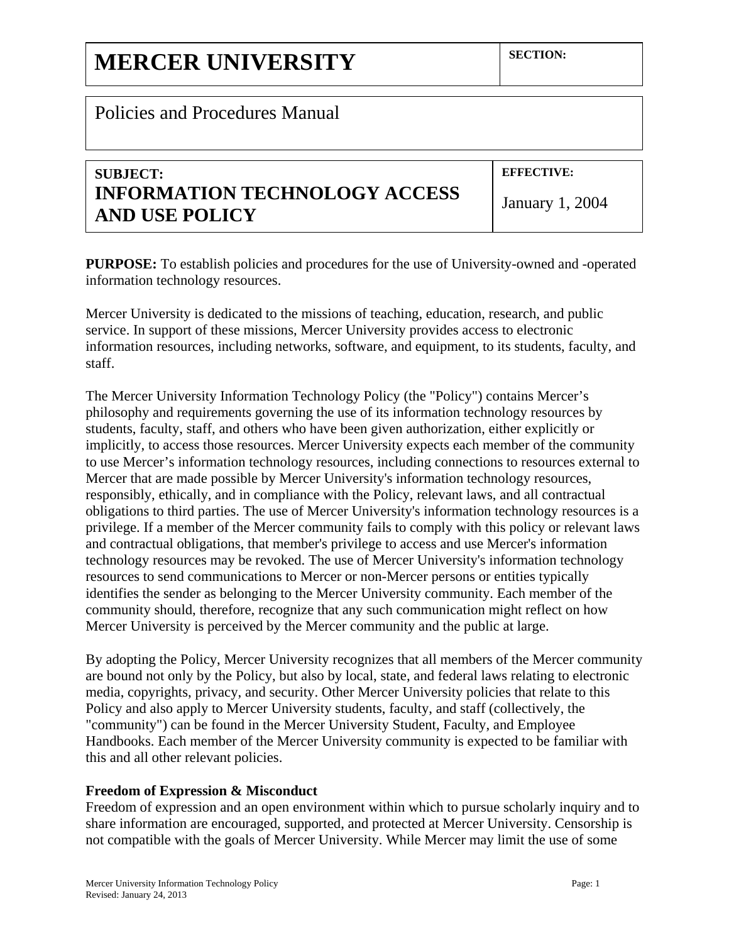# Policies and Procedures Manual

# **SUBJECT: INFORMATION TECHNOLOGY ACCESS AND USE POLICY**

**EFFECTIVE:** 

January 1, 2004

**PURPOSE:** To establish policies and procedures for the use of University-owned and -operated information technology resources.

Mercer University is dedicated to the missions of teaching, education, research, and public service. In support of these missions, Mercer University provides access to electronic information resources, including networks, software, and equipment, to its students, faculty, and staff.

The Mercer University Information Technology Policy (the "Policy") contains Mercer's philosophy and requirements governing the use of its information technology resources by students, faculty, staff, and others who have been given authorization, either explicitly or implicitly, to access those resources. Mercer University expects each member of the community to use Mercer's information technology resources, including connections to resources external to Mercer that are made possible by Mercer University's information technology resources, responsibly, ethically, and in compliance with the Policy, relevant laws, and all contractual obligations to third parties. The use of Mercer University's information technology resources is a privilege. If a member of the Mercer community fails to comply with this policy or relevant laws and contractual obligations, that member's privilege to access and use Mercer's information technology resources may be revoked. The use of Mercer University's information technology resources to send communications to Mercer or non-Mercer persons or entities typically identifies the sender as belonging to the Mercer University community. Each member of the community should, therefore, recognize that any such communication might reflect on how Mercer University is perceived by the Mercer community and the public at large.

By adopting the Policy, Mercer University recognizes that all members of the Mercer community are bound not only by the Policy, but also by local, state, and federal laws relating to electronic media, copyrights, privacy, and security. Other Mercer University policies that relate to this Policy and also apply to Mercer University students, faculty, and staff (collectively, the "community") can be found in the Mercer University Student, Faculty, and Employee Handbooks. Each member of the Mercer University community is expected to be familiar with this and all other relevant policies.

# **Freedom of Expression & Misconduct**

Freedom of expression and an open environment within which to pursue scholarly inquiry and to share information are encouraged, supported, and protected at Mercer University. Censorship is not compatible with the goals of Mercer University. While Mercer may limit the use of some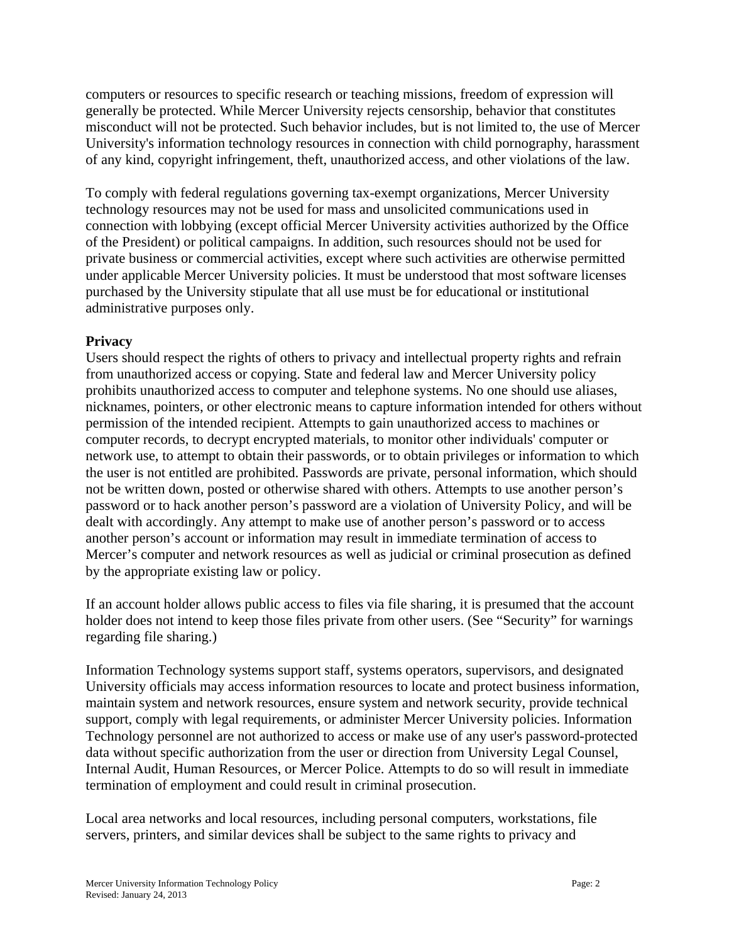computers or resources to specific research or teaching missions, freedom of expression will generally be protected. While Mercer University rejects censorship, behavior that constitutes misconduct will not be protected. Such behavior includes, but is not limited to, the use of Mercer University's information technology resources in connection with child pornography, harassment of any kind, copyright infringement, theft, unauthorized access, and other violations of the law.

To comply with federal regulations governing tax-exempt organizations, Mercer University technology resources may not be used for mass and unsolicited communications used in connection with lobbying (except official Mercer University activities authorized by the Office of the President) or political campaigns. In addition, such resources should not be used for private business or commercial activities, except where such activities are otherwise permitted under applicable Mercer University policies. It must be understood that most software licenses purchased by the University stipulate that all use must be for educational or institutional administrative purposes only.

# **Privacy**

Users should respect the rights of others to privacy and intellectual property rights and refrain from unauthorized access or copying. State and federal law and Mercer University policy prohibits unauthorized access to computer and telephone systems. No one should use aliases, nicknames, pointers, or other electronic means to capture information intended for others without permission of the intended recipient. Attempts to gain unauthorized access to machines or computer records, to decrypt encrypted materials, to monitor other individuals' computer or network use, to attempt to obtain their passwords, or to obtain privileges or information to which the user is not entitled are prohibited. Passwords are private, personal information, which should not be written down, posted or otherwise shared with others. Attempts to use another person's password or to hack another person's password are a violation of University Policy, and will be dealt with accordingly. Any attempt to make use of another person's password or to access another person's account or information may result in immediate termination of access to Mercer's computer and network resources as well as judicial or criminal prosecution as defined by the appropriate existing law or policy.

If an account holder allows public access to files via file sharing, it is presumed that the account holder does not intend to keep those files private from other users. (See "Security" for warnings regarding file sharing.)

Information Technology systems support staff, systems operators, supervisors, and designated University officials may access information resources to locate and protect business information, maintain system and network resources, ensure system and network security, provide technical support, comply with legal requirements, or administer Mercer University policies. Information Technology personnel are not authorized to access or make use of any user's password-protected data without specific authorization from the user or direction from University Legal Counsel, Internal Audit, Human Resources, or Mercer Police. Attempts to do so will result in immediate termination of employment and could result in criminal prosecution.

Local area networks and local resources, including personal computers, workstations, file servers, printers, and similar devices shall be subject to the same rights to privacy and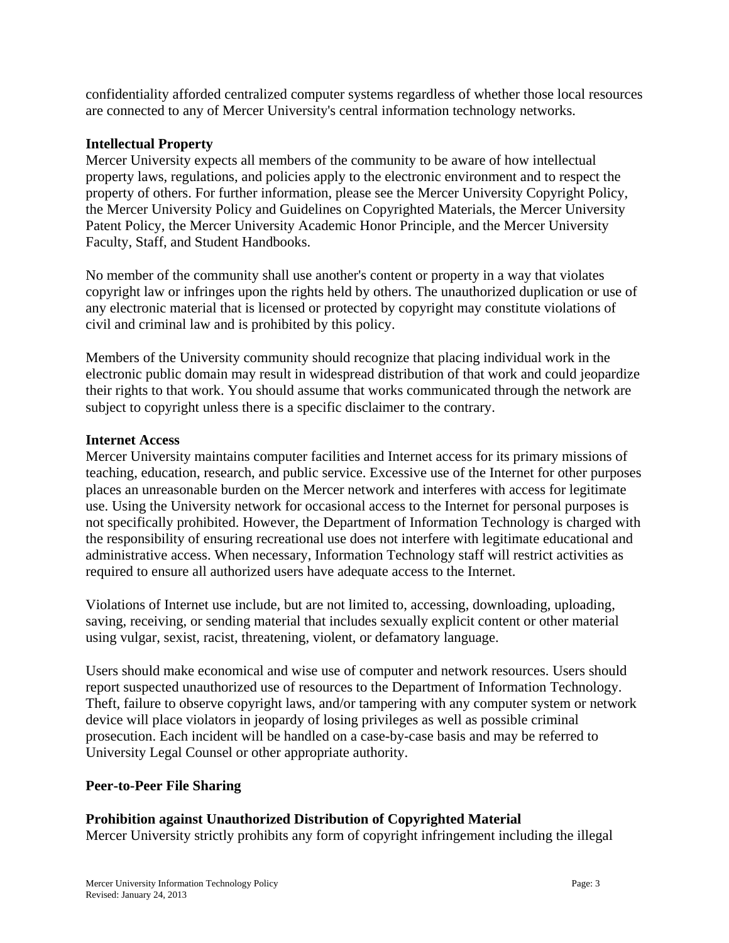confidentiality afforded centralized computer systems regardless of whether those local resources are connected to any of Mercer University's central information technology networks.

#### **Intellectual Property**

Mercer University expects all members of the community to be aware of how intellectual property laws, regulations, and policies apply to the electronic environment and to respect the property of others. For further information, please see the Mercer University Copyright Policy, the Mercer University Policy and Guidelines on Copyrighted Materials, the Mercer University Patent Policy, the Mercer University Academic Honor Principle, and the Mercer University Faculty, Staff, and Student Handbooks.

No member of the community shall use another's content or property in a way that violates copyright law or infringes upon the rights held by others. The unauthorized duplication or use of any electronic material that is licensed or protected by copyright may constitute violations of civil and criminal law and is prohibited by this policy.

Members of the University community should recognize that placing individual work in the electronic public domain may result in widespread distribution of that work and could jeopardize their rights to that work. You should assume that works communicated through the network are subject to copyright unless there is a specific disclaimer to the contrary.

#### **Internet Access**

Mercer University maintains computer facilities and Internet access for its primary missions of teaching, education, research, and public service. Excessive use of the Internet for other purposes places an unreasonable burden on the Mercer network and interferes with access for legitimate use. Using the University network for occasional access to the Internet for personal purposes is not specifically prohibited. However, the Department of Information Technology is charged with the responsibility of ensuring recreational use does not interfere with legitimate educational and administrative access. When necessary, Information Technology staff will restrict activities as required to ensure all authorized users have adequate access to the Internet.

Violations of Internet use include, but are not limited to, accessing, downloading, uploading, saving, receiving, or sending material that includes sexually explicit content or other material using vulgar, sexist, racist, threatening, violent, or defamatory language.

Users should make economical and wise use of computer and network resources. Users should report suspected unauthorized use of resources to the Department of Information Technology. Theft, failure to observe copyright laws, and/or tampering with any computer system or network device will place violators in jeopardy of losing privileges as well as possible criminal prosecution. Each incident will be handled on a case-by-case basis and may be referred to University Legal Counsel or other appropriate authority.

# **Peer-to-Peer File Sharing**

# **Prohibition against Unauthorized Distribution of Copyrighted Material**

Mercer University strictly prohibits any form of copyright infringement including the illegal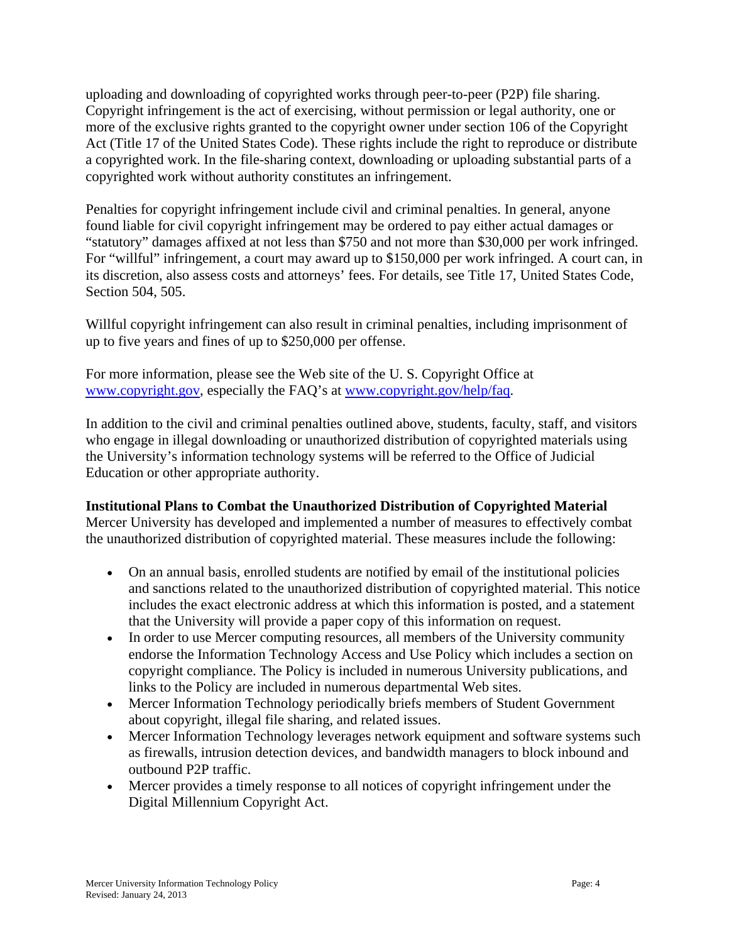uploading and downloading of copyrighted works through peer-to-peer (P2P) file sharing. Copyright infringement is the act of exercising, without permission or legal authority, one or more of the exclusive rights granted to the copyright owner under section 106 of the Copyright Act (Title 17 of the United States Code). These rights include the right to reproduce or distribute a copyrighted work. In the file-sharing context, downloading or uploading substantial parts of a copyrighted work without authority constitutes an infringement.

Penalties for copyright infringement include civil and criminal penalties. In general, anyone found liable for civil copyright infringement may be ordered to pay either actual damages or "statutory" damages affixed at not less than \$750 and not more than \$30,000 per work infringed. For "willful" infringement, a court may award up to \$150,000 per work infringed. A court can, in its discretion, also assess costs and attorneys' fees. For details, see Title 17, United States Code, Section 504, 505.

Willful copyright infringement can also result in criminal penalties, including imprisonment of up to five years and fines of up to \$250,000 per offense.

For more information, please see the Web site of the U. S. Copyright Office at www.copyright.gov, especially the FAQ's at www.copyright.gov/help/faq.

In addition to the civil and criminal penalties outlined above, students, faculty, staff, and visitors who engage in illegal downloading or unauthorized distribution of copyrighted materials using the University's information technology systems will be referred to the Office of Judicial Education or other appropriate authority.

# **Institutional Plans to Combat the Unauthorized Distribution of Copyrighted Material**

Mercer University has developed and implemented a number of measures to effectively combat the unauthorized distribution of copyrighted material. These measures include the following:

- On an annual basis, enrolled students are notified by email of the institutional policies and sanctions related to the unauthorized distribution of copyrighted material. This notice includes the exact electronic address at which this information is posted, and a statement that the University will provide a paper copy of this information on request.
- In order to use Mercer computing resources, all members of the University community endorse the Information Technology Access and Use Policy which includes a section on copyright compliance. The Policy is included in numerous University publications, and links to the Policy are included in numerous departmental Web sites.
- Mercer Information Technology periodically briefs members of Student Government about copyright, illegal file sharing, and related issues.
- Mercer Information Technology leverages network equipment and software systems such as firewalls, intrusion detection devices, and bandwidth managers to block inbound and outbound P2P traffic.
- Mercer provides a timely response to all notices of copyright infringement under the Digital Millennium Copyright Act.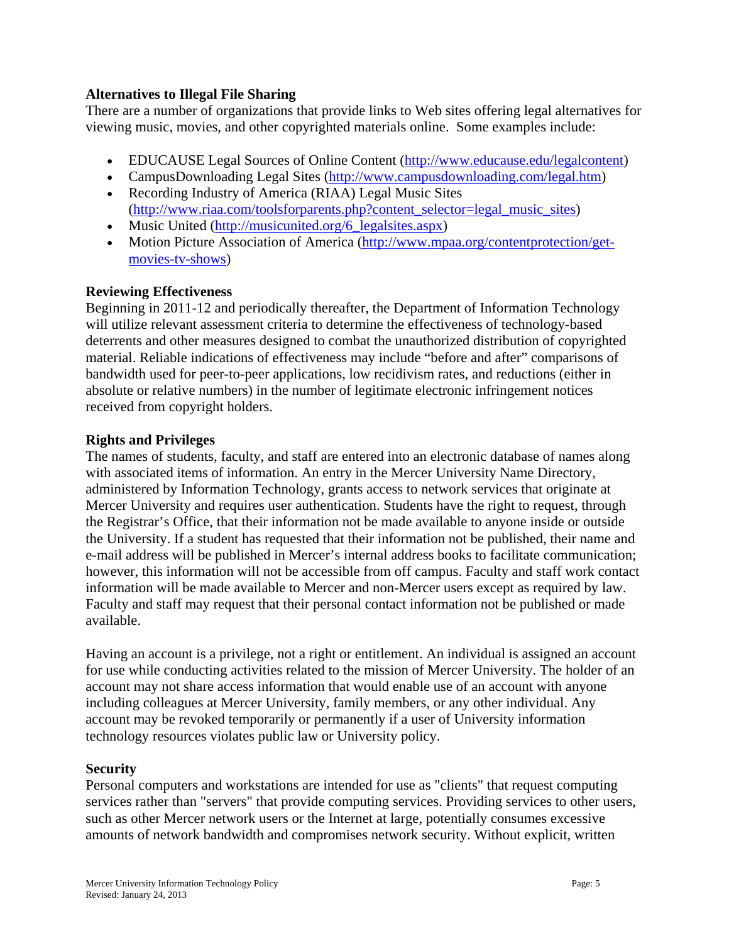#### **Alternatives to Illegal File Sharing**

There are a number of organizations that provide links to Web sites offering legal alternatives for viewing music, movies, and other copyrighted materials online. Some examples include:

- EDUCAUSE Legal Sources of Online Content (http://www.educause.edu/legalcontent)
- CampusDownloading Legal Sites (http://www.campusdownloading.com/legal.htm) Recording Industry of America (RIAA) Legal Music Sites
- (http://www.riaa.com/toolsforparents.php?content\_selector=legal\_music\_sites) • Music United (http://musicunited.org/6 legalsites.aspx)
- 
- Motion Picture Association of America (http://www.mpaa.org/contentprotection/getmovies-tv-shows)

# **Reviewing Effectiveness**

Beginning in 2011-12 and periodically thereafter, the Department of Information Technology will utilize relevant assessment criteria to determine the effectiveness of technology-based deterrents and other measures designed to combat the unauthorized distribution of copyrighted material. Reliable indications of effectiveness may include "before and after" comparisons of bandwidth used for peer-to-peer applications, low recidivism rates, and reductions (either in absolute or relative numbers) in the number of legitimate electronic infringement notices received from copyright holders.

#### **Rights and Privileges**

The names of students, faculty, and staff are entered into an electronic database of names along with associated items of information. An entry in the Mercer University Name Directory, administered by Information Technology, grants access to network services that originate at Mercer University and requires user authentication. Students have the right to request, through the Registrar's Office, that their information not be made available to anyone inside or outside the University. If a student has requested that their information not be published, their name and e-mail address will be published in Mercer's internal address books to facilitate communication; however, this information will not be accessible from off campus. Faculty and staff work contact information will be made available to Mercer and non-Mercer users except as required by law. Faculty and staff may request that their personal contact information not be published or made available.

Having an account is a privilege, not a right or entitlement. An individual is assigned an account for use while conducting activities related to the mission of Mercer University. The holder of an account may not share access information that would enable use of an account with anyone including colleagues at Mercer University, family members, or any other individual. Any account may be revoked temporarily or permanently if a user of University information technology resources violates public law or University policy.

#### **Security**

Personal computers and workstations are intended for use as "clients" that request computing services rather than "servers" that provide computing services. Providing services to other users, such as other Mercer network users or the Internet at large, potentially consumes excessive amounts of network bandwidth and compromises network security. Without explicit, written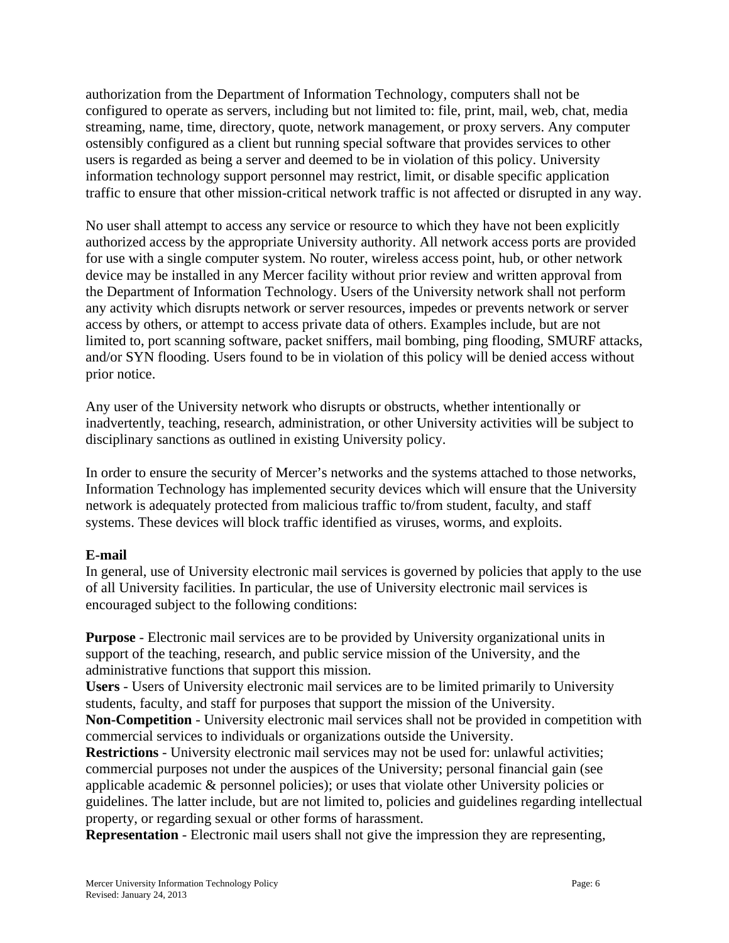authorization from the Department of Information Technology, computers shall not be configured to operate as servers, including but not limited to: file, print, mail, web, chat, media streaming, name, time, directory, quote, network management, or proxy servers. Any computer ostensibly configured as a client but running special software that provides services to other users is regarded as being a server and deemed to be in violation of this policy. University information technology support personnel may restrict, limit, or disable specific application traffic to ensure that other mission-critical network traffic is not affected or disrupted in any way.

No user shall attempt to access any service or resource to which they have not been explicitly authorized access by the appropriate University authority. All network access ports are provided for use with a single computer system. No router, wireless access point, hub, or other network device may be installed in any Mercer facility without prior review and written approval from the Department of Information Technology. Users of the University network shall not perform any activity which disrupts network or server resources, impedes or prevents network or server access by others, or attempt to access private data of others. Examples include, but are not limited to, port scanning software, packet sniffers, mail bombing, ping flooding, SMURF attacks, and/or SYN flooding. Users found to be in violation of this policy will be denied access without prior notice.

Any user of the University network who disrupts or obstructs, whether intentionally or inadvertently, teaching, research, administration, or other University activities will be subject to disciplinary sanctions as outlined in existing University policy.

In order to ensure the security of Mercer's networks and the systems attached to those networks, Information Technology has implemented security devices which will ensure that the University network is adequately protected from malicious traffic to/from student, faculty, and staff systems. These devices will block traffic identified as viruses, worms, and exploits.

#### **E-mail**

In general, use of University electronic mail services is governed by policies that apply to the use of all University facilities. In particular, the use of University electronic mail services is encouraged subject to the following conditions:

**Purpose** - Electronic mail services are to be provided by University organizational units in support of the teaching, research, and public service mission of the University, and the administrative functions that support this mission.

**Users** - Users of University electronic mail services are to be limited primarily to University students, faculty, and staff for purposes that support the mission of the University.

**Non-Competition** - University electronic mail services shall not be provided in competition with commercial services to individuals or organizations outside the University.

**Restrictions** - University electronic mail services may not be used for: unlawful activities; commercial purposes not under the auspices of the University; personal financial gain (see applicable academic & personnel policies); or uses that violate other University policies or guidelines. The latter include, but are not limited to, policies and guidelines regarding intellectual property, or regarding sexual or other forms of harassment.

**Representation** - Electronic mail users shall not give the impression they are representing,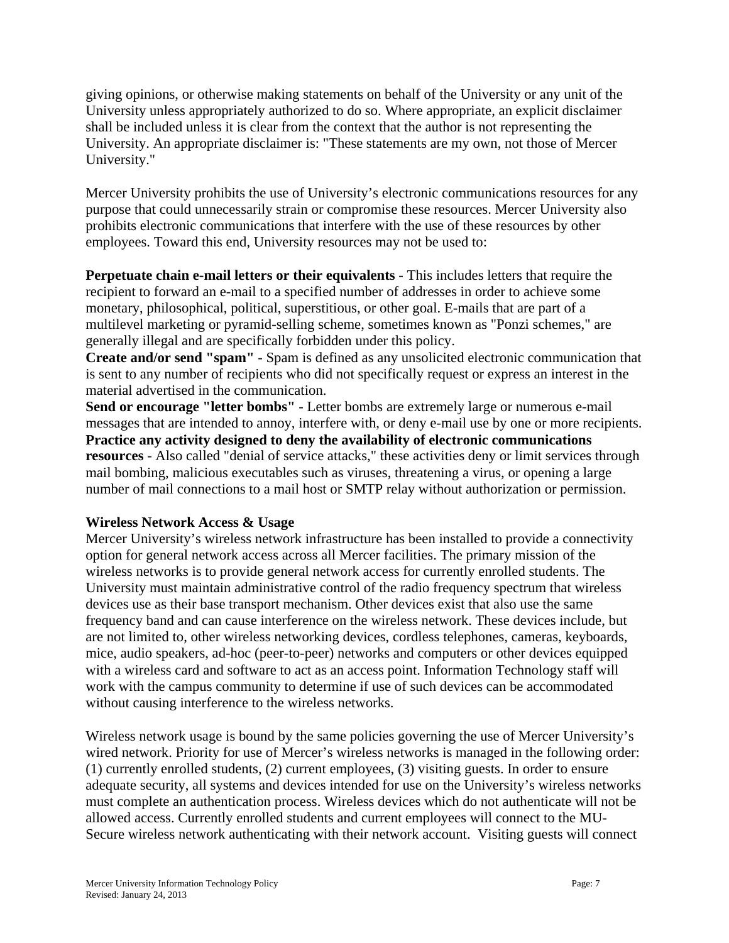giving opinions, or otherwise making statements on behalf of the University or any unit of the University unless appropriately authorized to do so. Where appropriate, an explicit disclaimer shall be included unless it is clear from the context that the author is not representing the University. An appropriate disclaimer is: "These statements are my own, not those of Mercer University."

Mercer University prohibits the use of University's electronic communications resources for any purpose that could unnecessarily strain or compromise these resources. Mercer University also prohibits electronic communications that interfere with the use of these resources by other employees. Toward this end, University resources may not be used to:

**Perpetuate chain e-mail letters or their equivalents** - This includes letters that require the recipient to forward an e-mail to a specified number of addresses in order to achieve some monetary, philosophical, political, superstitious, or other goal. E-mails that are part of a multilevel marketing or pyramid-selling scheme, sometimes known as "Ponzi schemes," are generally illegal and are specifically forbidden under this policy.

**Create and/or send "spam"** - Spam is defined as any unsolicited electronic communication that is sent to any number of recipients who did not specifically request or express an interest in the material advertised in the communication.

**Send or encourage "letter bombs"** - Letter bombs are extremely large or numerous e-mail messages that are intended to annoy, interfere with, or deny e-mail use by one or more recipients. **Practice any activity designed to deny the availability of electronic communications resources** - Also called "denial of service attacks," these activities deny or limit services through mail bombing, malicious executables such as viruses, threatening a virus, or opening a large number of mail connections to a mail host or SMTP relay without authorization or permission.

# **Wireless Network Access & Usage**

Mercer University's wireless network infrastructure has been installed to provide a connectivity option for general network access across all Mercer facilities. The primary mission of the wireless networks is to provide general network access for currently enrolled students. The University must maintain administrative control of the radio frequency spectrum that wireless devices use as their base transport mechanism. Other devices exist that also use the same frequency band and can cause interference on the wireless network. These devices include, but are not limited to, other wireless networking devices, cordless telephones, cameras, keyboards, mice, audio speakers, ad-hoc (peer-to-peer) networks and computers or other devices equipped with a wireless card and software to act as an access point. Information Technology staff will work with the campus community to determine if use of such devices can be accommodated without causing interference to the wireless networks.

Wireless network usage is bound by the same policies governing the use of Mercer University's wired network. Priority for use of Mercer's wireless networks is managed in the following order: (1) currently enrolled students, (2) current employees, (3) visiting guests. In order to ensure adequate security, all systems and devices intended for use on the University's wireless networks must complete an authentication process. Wireless devices which do not authenticate will not be allowed access. Currently enrolled students and current employees will connect to the MU-Secure wireless network authenticating with their network account. Visiting guests will connect